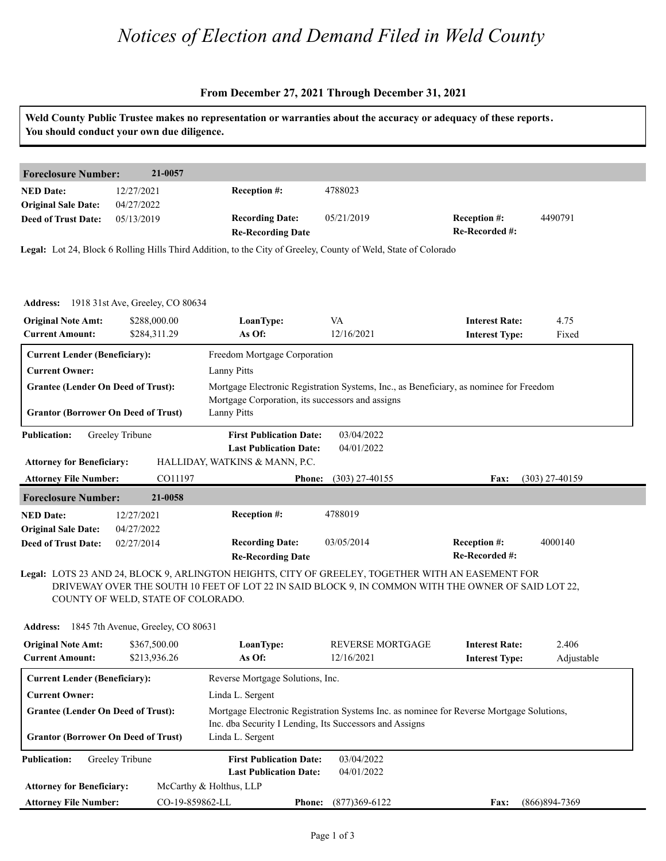### *Notices of Election and Demand Filed in Weld County*

#### **From December 27, 2021 Through December 31, 2021**

| <b>Foreclosure Number:</b>                                                              | 21-0057                                   |                                                                 |                                                                                                                                                                                                          |                                                |                     |
|-----------------------------------------------------------------------------------------|-------------------------------------------|-----------------------------------------------------------------|----------------------------------------------------------------------------------------------------------------------------------------------------------------------------------------------------------|------------------------------------------------|---------------------|
| <b>NED Date:</b><br><b>Original Sale Date:</b>                                          | 12/27/2021<br>04/27/2022                  | Reception #:                                                    | 4788023                                                                                                                                                                                                  |                                                |                     |
| <b>Deed of Trust Date:</b>                                                              | 05/13/2019                                | <b>Recording Date:</b><br><b>Re-Recording Date</b>              | 05/21/2019                                                                                                                                                                                               | Reception #:<br>Re-Recorded #:                 | 4490791             |
|                                                                                         |                                           |                                                                 | Legal: Lot 24, Block 6 Rolling Hills Third Addition, to the City of Greeley, County of Weld, State of Colorado                                                                                           |                                                |                     |
|                                                                                         | Address: 1918 31st Ave, Greeley, CO 80634 |                                                                 |                                                                                                                                                                                                          |                                                |                     |
| <b>Original Note Amt:</b><br><b>Current Amount:</b>                                     | \$288,000.00<br>\$284,311.29              | LoanType:<br>As Of:                                             | VA<br>12/16/2021                                                                                                                                                                                         | <b>Interest Rate:</b><br><b>Interest Type:</b> | 4.75<br>Fixed       |
| <b>Current Lender (Beneficiary):</b>                                                    |                                           | Freedom Mortgage Corporation                                    |                                                                                                                                                                                                          |                                                |                     |
| <b>Current Owner:</b>                                                                   |                                           | <b>Lanny Pitts</b>                                              |                                                                                                                                                                                                          |                                                |                     |
| <b>Grantee (Lender On Deed of Trust):</b>                                               |                                           | Mortgage Corporation, its successors and assigns                | Mortgage Electronic Registration Systems, Inc., as Beneficiary, as nominee for Freedom                                                                                                                   |                                                |                     |
| <b>Grantor (Borrower On Deed of Trust)</b>                                              |                                           | <b>Lanny Pitts</b>                                              |                                                                                                                                                                                                          |                                                |                     |
| <b>Publication:</b>                                                                     | Greeley Tribune                           | <b>First Publication Date:</b>                                  | 03/04/2022                                                                                                                                                                                               |                                                |                     |
| <b>Attorney for Beneficiary:</b>                                                        |                                           | <b>Last Publication Date:</b><br>HALLIDAY, WATKINS & MANN, P.C. | 04/01/2022                                                                                                                                                                                               |                                                |                     |
| <b>Attorney File Number:</b>                                                            | CO11197                                   | <b>Phone:</b>                                                   | $(303)$ 27-40155                                                                                                                                                                                         | Fax:                                           | $(303)$ 27-40159    |
| <b>Foreclosure Number:</b>                                                              | 21-0058                                   |                                                                 |                                                                                                                                                                                                          |                                                |                     |
| <b>NED Date:</b>                                                                        | 12/27/2021                                | <b>Reception #:</b>                                             | 4788019                                                                                                                                                                                                  |                                                |                     |
| <b>Original Sale Date:</b>                                                              | 04/27/2022<br>02/27/2014                  | <b>Recording Date:</b>                                          | 03/05/2014                                                                                                                                                                                               | Reception #:<br>Re-Recorded #:                 | 4000140             |
| <b>Deed of Trust Date:</b>                                                              |                                           | <b>Re-Recording Date</b>                                        |                                                                                                                                                                                                          |                                                |                     |
|                                                                                         | COUNTY OF WELD, STATE OF COLORADO.        |                                                                 | Legal: LOTS 23 AND 24, BLOCK 9, ARLINGTON HEIGHTS, CITY OF GREELEY, TOGETHER WITH AN EASEMENT FOR<br>DRIVEWAY OVER THE SOUTH 10 FEET OF LOT 22 IN SAID BLOCK 9, IN COMMON WITH THE OWNER OF SAID LOT 22, |                                                |                     |
| <b>Address:</b>                                                                         | 1845 7th Avenue, Greeley, CO 80631        |                                                                 |                                                                                                                                                                                                          |                                                |                     |
| <b>Original Note Amt:</b><br><b>Current Amount:</b>                                     | \$367,500.00<br>\$213,936.26              | LoanType:<br>As Of:                                             | <b>REVERSE MORTGAGE</b><br>12/16/2021                                                                                                                                                                    | <b>Interest Rate:</b><br><b>Interest Type:</b> | 2.406<br>Adjustable |
| <b>Current Lender (Beneficiary):</b>                                                    |                                           | Reverse Mortgage Solutions, Inc.                                |                                                                                                                                                                                                          |                                                |                     |
| <b>Current Owner:</b>                                                                   |                                           | Linda L. Sergent                                                |                                                                                                                                                                                                          |                                                |                     |
| <b>Grantee (Lender On Deed of Trust):</b><br><b>Grantor (Borrower On Deed of Trust)</b> |                                           | Linda L. Sergent                                                | Mortgage Electronic Registration Systems Inc. as nominee for Reverse Mortgage Solutions,<br>Inc. dba Security I Lending, Its Successors and Assigns                                                      |                                                |                     |

**Phone: Fax:** CO-19-859862-LL (877)369-6122 (866)894-7369

**Attorney for Beneficiary:**

**Attorney File Number:**

McCarthy & Holthus, LLP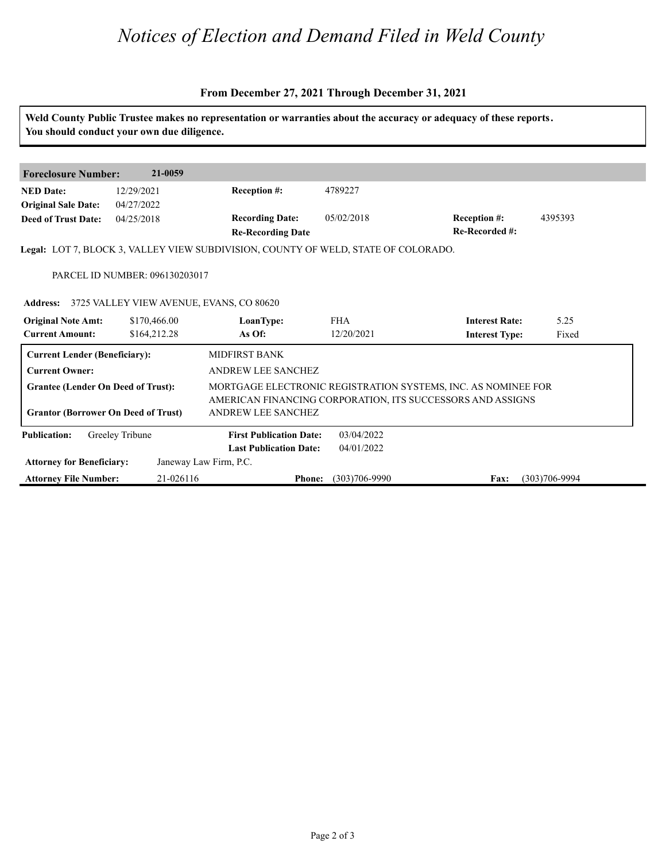# *Notices of Election and Demand Filed in Weld County*

#### **From December 27, 2021 Through December 31, 2021**

|                                            | You should conduct your own due diligence. |                                                                                    |                   | Weld County Public Trustee makes no representation or warranties about the accuracy or adequacy of these reports. |                   |
|--------------------------------------------|--------------------------------------------|------------------------------------------------------------------------------------|-------------------|-------------------------------------------------------------------------------------------------------------------|-------------------|
|                                            |                                            |                                                                                    |                   |                                                                                                                   |                   |
| <b>Foreclosure Number:</b>                 | 21-0059                                    |                                                                                    |                   |                                                                                                                   |                   |
| <b>NED Date:</b>                           | 12/29/2021                                 | <b>Reception #:</b>                                                                | 4789227           |                                                                                                                   |                   |
| <b>Original Sale Date:</b>                 | 04/27/2022                                 |                                                                                    |                   |                                                                                                                   |                   |
| <b>Deed of Trust Date:</b>                 | 04/25/2018                                 | <b>Recording Date:</b><br><b>Re-Recording Date</b>                                 | 05/02/2018        | Reception #:<br>Re-Recorded #:                                                                                    | 4395393           |
|                                            |                                            | Legal: LOT 7, BLOCK 3, VALLEY VIEW SUBDIVISION, COUNTY OF WELD, STATE OF COLORADO. |                   |                                                                                                                   |                   |
|                                            | PARCEL ID NUMBER: 096130203017             |                                                                                    |                   |                                                                                                                   |                   |
| <b>Address:</b>                            | 3725 VALLEY VIEW AVENUE, EVANS, CO 80620   |                                                                                    |                   |                                                                                                                   |                   |
| <b>Original Note Amt:</b>                  | \$170,466.00                               | LoanType:                                                                          | <b>FHA</b>        | <b>Interest Rate:</b>                                                                                             | 5.25              |
| <b>Current Amount:</b>                     | \$164,212.28                               | As Of:                                                                             | 12/20/2021        | <b>Interest Type:</b>                                                                                             | Fixed             |
| <b>Current Lender (Beneficiary):</b>       |                                            | MIDFIRST BANK                                                                      |                   |                                                                                                                   |                   |
| <b>Current Owner:</b>                      |                                            | ANDREW LEE SANCHEZ                                                                 |                   |                                                                                                                   |                   |
| <b>Grantee (Lender On Deed of Trust):</b>  |                                            |                                                                                    |                   | MORTGAGE ELECTRONIC REGISTRATION SYSTEMS, INC. AS NOMINEE FOR                                                     |                   |
|                                            |                                            |                                                                                    |                   | AMERICAN FINANCING CORPORATION, ITS SUCCESSORS AND ASSIGNS                                                        |                   |
| <b>Grantor (Borrower On Deed of Trust)</b> |                                            | <b>ANDREW LEE SANCHEZ</b>                                                          |                   |                                                                                                                   |                   |
| <b>Publication:</b>                        | Greeley Tribune                            | <b>First Publication Date:</b>                                                     | 03/04/2022        |                                                                                                                   |                   |
|                                            |                                            | <b>Last Publication Date:</b>                                                      | 04/01/2022        |                                                                                                                   |                   |
| <b>Attorney for Beneficiary:</b>           |                                            | Janeway Law Firm, P.C.                                                             |                   |                                                                                                                   |                   |
| <b>Attorney File Number:</b>               | 21-026116                                  | <b>Phone:</b>                                                                      | $(303)706 - 9990$ | Fax:                                                                                                              | $(303)706 - 9994$ |